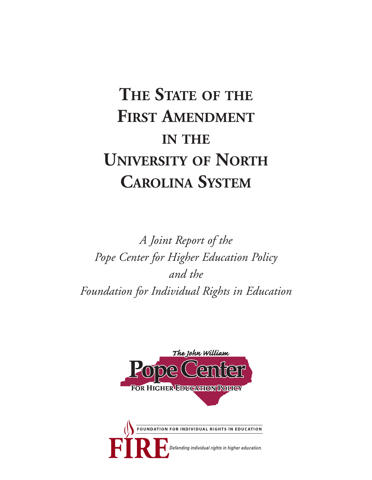# **THE STATE OF THE FIRST AMENDMENT IN THE UNIVERSITY OF NORTH CAROLINA SYSTEM**

*A Joint Report of the Pope Center for Higher Education Policy and the Foundation for Individual Rights in Education*



efending individual rights in higher education.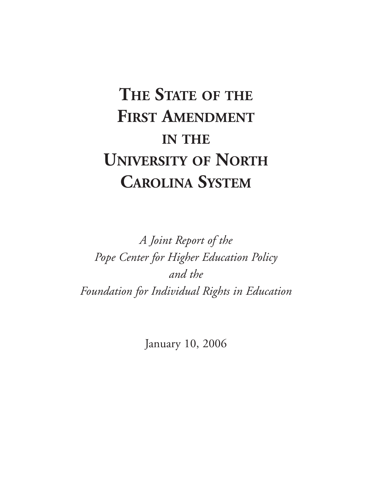# **THE STATE OF THE FIRST AMENDMENT IN THE UNIVERSITY OF NORTH CAROLINA SYSTEM**

*A Joint Report of the Pope Center for Higher Education Policy and the Foundation for Individual Rights in Education*

January 10, 2006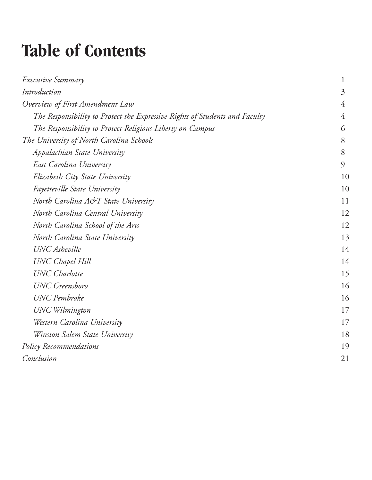# **Table of Contents**

| <i>Executive Summary</i>                                                    | $\mathbf 1$    |
|-----------------------------------------------------------------------------|----------------|
| Introduction                                                                | $\overline{3}$ |
| Overview of First Amendment Law                                             | 4              |
| The Responsibility to Protect the Expressive Rights of Students and Faculty | $\overline{4}$ |
| The Responsibility to Protect Religious Liberty on Campus                   | 6              |
| The University of North Carolina Schools                                    | 8              |
| Appalachian State University                                                | 8              |
| East Carolina University                                                    | $\mathcal{Q}$  |
| Elizabeth City State University                                             | 10             |
| Fayetteville State University                                               | 10             |
| North Carolina A&T State University                                         | 11             |
| North Carolina Central University                                           | 12             |
| North Carolina School of the Arts                                           | 12             |
| North Carolina State University                                             | 13             |
| <b>UNC</b> Asheville                                                        | 14             |
| <b>UNC</b> Chapel Hill                                                      | 14             |
| <b>UNC</b> Charlotte                                                        | 15             |
| <b>UNC</b> Greensboro                                                       | 16             |
| <b>UNC</b> Pembroke                                                         | 16             |
| <b>UNC</b> Wilmington                                                       | 17             |
| Western Carolina University                                                 | 17             |
| Winston Salem State University                                              | 18             |
| Policy Recommendations                                                      | 19             |
| Conclusion                                                                  | 21             |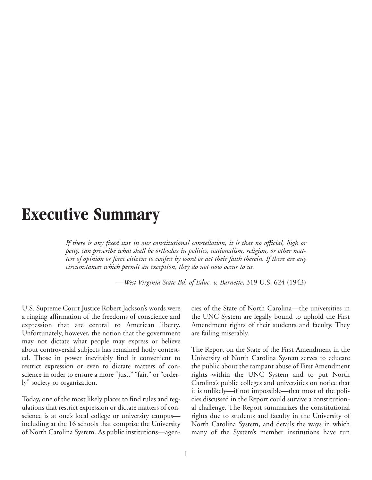## **Executive Summary**

*If there is any fixed star in our constitutional constellation, it is that no official, high or petty, can prescribe what shall be orthodox in politics, nationalism, religion, or other matters of opinion or force citizens to confess by word or act their faith therein. If there are any circumstances which permit an exception, they do not now occur to us.*

—*West Virginia State Bd. of Educ. v. Barnette*, 319 U.S. 624 (1943)

U.S. Supreme Court Justice Robert Jackson's words were a ringing affirmation of the freedoms of conscience and expression that are central to American liberty. Unfortunately, however, the notion that the government may not dictate what people may express or believe about controversial subjects has remained hotly contested. Those in power inevitably find it convenient to restrict expression or even to dictate matters of conscience in order to ensure a more "just," "fair," or "orderly" society or organization.

Today, one of the most likely places to find rules and regulations that restrict expression or dictate matters of conscience is at one's local college or university campus including at the 16 schools that comprise the University of North Carolina System. As public institutions—agencies of the State of North Carolina—the universities in the UNC System are legally bound to uphold the First Amendment rights of their students and faculty. They are failing miserably.

The Report on the State of the First Amendment in the University of North Carolina System serves to educate the public about the rampant abuse of First Amendment rights within the UNC System and to put North Carolina's public colleges and universities on notice that it is unlikely—if not impossible—that most of the policies discussed in the Report could survive a constitutional challenge. The Report summarizes the constitutional rights due to students and faculty in the University of North Carolina System, and details the ways in which many of the System's member institutions have run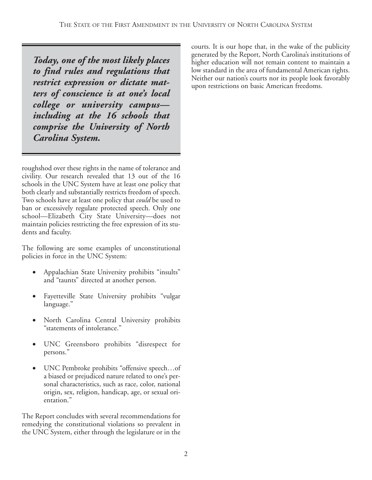*Today, one of the most likely places to find rules and regulations that restrict expression or dictate matters of conscience is at one's local college or university campus including at the 16 schools that comprise the University of North Carolina System.*

roughshod over these rights in the name of tolerance and civility. Our research revealed that 13 out of the 16 schools in the UNC System have at least one policy that both clearly and substantially restricts freedom of speech. Two schools have at least one policy that *could* be used to ban or excessively regulate protected speech. Only one school—Elizabeth City State University—does not maintain policies restricting the free expression of its students and faculty.

The following are some examples of unconstitutional policies in force in the UNC System:

- Appalachian State University prohibits "insults" and "taunts" directed at another person.
- Fayetteville State University prohibits "vulgar language."
- North Carolina Central University prohibits "statements of intolerance."
- UNC Greensboro prohibits "disrespect for persons."
- UNC Pembroke prohibits "offensive speech…of a biased or prejudiced nature related to one's personal characteristics, such as race, color, national origin, sex, religion, handicap, age, or sexual orientation."

The Report concludes with several recommendations for remedying the constitutional violations so prevalent in the UNC System, either through the legislature or in the courts. It is our hope that, in the wake of the publicity generated by the Report, North Carolina's institutions of higher education will not remain content to maintain a low standard in the area of fundamental American rights. Neither our nation's courts nor its people look favorably upon restrictions on basic American freedoms.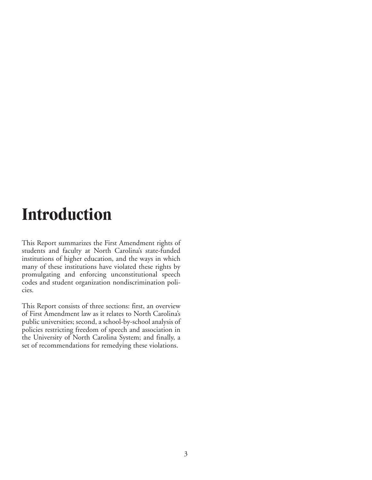## **Introduction**

This Report summarizes the First Amendment rights of students and faculty at North Carolina's state-funded institutions of higher education, and the ways in which many of these institutions have violated these rights by promulgating and enforcing unconstitutional speech codes and student organization nondiscrimination policies.

This Report consists of three sections: first, an overview of First Amendment law as it relates to North Carolina's public universities; second, a school-by-school analysis of policies restricting freedom of speech and association in the University of North Carolina System; and finally, a set of recommendations for remedying these violations.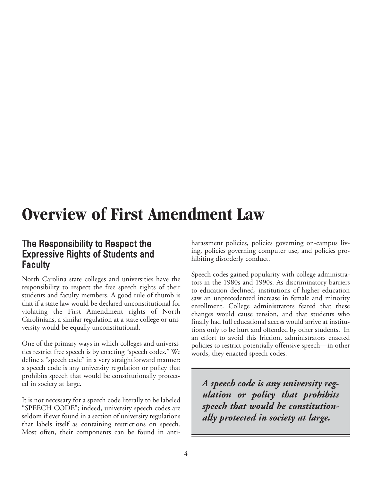## **Overview of First Amendment Law**

#### The Responsibility to Respect the Expressive Rights of Students and **Faculty**

North Carolina state colleges and universities have the responsibility to respect the free speech rights of their students and faculty members. A good rule of thumb is that if a state law would be declared unconstitutional for violating the First Amendment rights of North Carolinians, a similar regulation at a state college or university would be equally unconstitutional.

One of the primary ways in which colleges and universities restrict free speech is by enacting "speech codes." We define a "speech code" in a very straightforward manner: a speech code is any university regulation or policy that prohibits speech that would be constitutionally protected in society at large.

It is not necessary for a speech code literally to be labeled "SPEECH CODE"; indeed, university speech codes are seldom if ever found in a section of university regulations that labels itself as containing restrictions on speech. Most often, their components can be found in anti-

harassment policies, policies governing on-campus living, policies governing computer use, and policies prohibiting disorderly conduct.

Speech codes gained popularity with college administrators in the 1980s and 1990s. As discriminatory barriers to education declined, institutions of higher education saw an unprecedented increase in female and minority enrollment. College administrators feared that these changes would cause tension, and that students who finally had full educational access would arrive at institutions only to be hurt and offended by other students. In an effort to avoid this friction, administrators enacted policies to restrict potentially offensive speech—in other words, they enacted speech codes.

*A speech code is any university regulation or policy that prohibits speech that would be constitutionally protected in society at large.*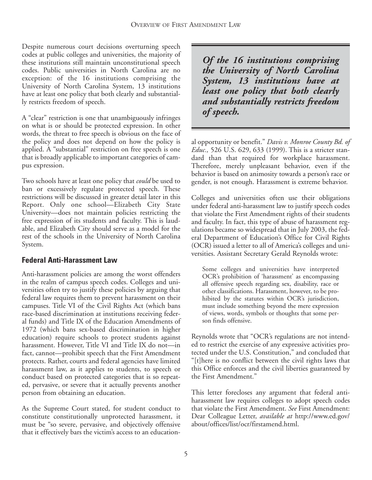Despite numerous court decisions overturning speech codes at public colleges and universities, the majority of these institutions still maintain unconstitutional speech codes. Public universities in North Carolina are no exception: of the 16 institutions comprising the University of North Carolina System, 13 institutions have at least one policy that both clearly and substantially restricts freedom of speech.

A "clear" restriction is one that unambiguously infringes on what is or should be protected expression. In other words, the threat to free speech is obvious on the face of the policy and does not depend on how the policy is applied. A "substantial" restriction on free speech is one that is broadly applicable to important categories of campus expression.

Two schools have at least one policy that *could* be used to ban or excessively regulate protected speech. These restrictions will be discussed in greater detail later in this Report. Only one school—Elizabeth City State University—does not maintain policies restricting the free expression of its students and faculty. This is laudable, and Elizabeth City should serve as a model for the rest of the schools in the University of North Carolina System.

#### **Federal Anti-Harassment Law**

Anti-harassment policies are among the worst offenders in the realm of campus speech codes. Colleges and universities often try to justify these policies by arguing that federal law requires them to prevent harassment on their campuses. Title VI of the Civil Rights Act (which bans race-based discrimination at institutions receiving federal funds) and Title IX of the Education Amendments of 1972 (which bans sex-based discrimination in higher education) require schools to protect students against harassment. However, Title VI and Title IX do not—in fact, cannot—prohibit speech that the First Amendment protects. Rather, courts and federal agencies have limited harassment law, as it applies to students, to speech or conduct based on protected categories that is so repeated, pervasive, or severe that it actually prevents another person from obtaining an education.

As the Supreme Court stated, for student conduct to constitute constitutionally unprotected harassment, it must be "so severe, pervasive, and objectively offensive that it effectively bars the victim's access to an education-

*Of the 16 institutions comprising the University of North Carolina System, 13 institutions have at least one policy that both clearly and substantially restricts freedom of speech.*

al opportunity or benefit." *Davis v. Monroe County Bd. of Educ.,* 526 U.S. 629, 633 (1999). This is a stricter standard than that required for workplace harassment. Therefore, merely unpleasant behavior, even if the behavior is based on animosity towards a person's race or gender, is not enough. Harassment is extreme behavior.

Colleges and universities often use their obligations under federal anti-harassment law to justify speech codes that violate the First Amendment rights of their students and faculty. In fact, this type of abuse of harassment regulations became so widespread that in July 2003, the federal Department of Education's Office for Civil Rights (OCR) issued a letter to all of America's colleges and universities. Assistant Secretary Gerald Reynolds wrote:

Some colleges and universities have interpreted OCR's prohibition of 'harassment' as encompassing all offensive speech regarding sex, disability, race or other classifications. Harassment, however, to be prohibited by the statutes within OCR's jurisdiction, must include something beyond the mere expression of views, words, symbols or thoughts that some person finds offensive.

Reynolds wrote that "OCR's regulations are not intended to restrict the exercise of any expressive activities protected under the U.S. Constitution," and concluded that "[t]here is no conflict between the civil rights laws that this Office enforces and the civil liberties guaranteed by the First Amendment."

This letter forecloses any argument that federal antiharassment law requires colleges to adopt speech codes that violate the First Amendment. *See* First Amendment: Dear Colleague Letter, *available at* http://www.ed.gov/ about/offices/list/ocr/firstamend.html.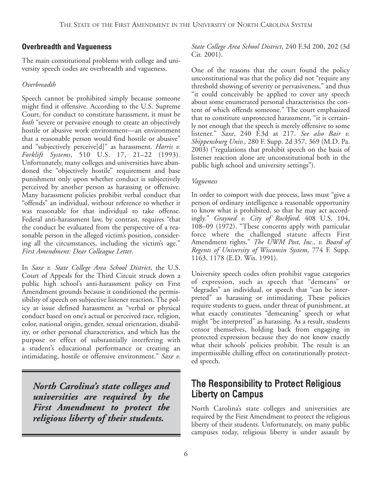#### **Overbreadth and Vagueness**

The main constitutional problems with college and university speech codes are overbreadth and vagueness.

#### *Overbreadth*

Speech cannot be prohibited simply because someone might find it offensive. According to the U.S. Supreme Court, for conduct to constitute harassment, it must be *both* "severe or pervasive enough to create an objectively hostile or abusive work environment—an environment that a reasonable person would find hostile or abusive" and "subjectively perceive[d]" as harassment. *Harris v. Forklift Systems*, 510 U.S. 17, 21–22 (1993). Unfortunately, many colleges and universities have abandoned the "objectively hostile" requirement and base punishment only upon whether conduct is subjectively perceived by another person as harassing or offensive. Many harassment policies prohibit verbal conduct that "offends" an individual, without reference to whether it was reasonable for that individual to take offense. Federal anti-harassment law, by contrast, requires "that the conduct be evaluated from the perspective of a reasonable person in the alleged victim's position, considering all the circumstances, including the victim's age." *First Amendment: Dear Colleague Letter*.

In *Saxe v. State College Area School District*, the U.S. Court of Appeals for the Third Circuit struck down a public high school's anti-harassment policy on First Amendment grounds because it conditioned the permissibility of speech on subjective listener reaction. The policy at issue defined harassment as "verbal or physical conduct based on one's actual or perceived race, religion, color, national origin, gender, sexual orientation, disability, or other personal characteristics, and which has the purpose or effect of substantially interfering with a student's educational performance or creating an intimidating, hostile or offensive environment." *Saxe v.*

*North Carolina's state colleges and universities are required by the First Amendment to protect the religious liberty of their students.*

*State College Area School District*, 240 F.3d 200, 202 (3d Cir. 2001).

One of the reasons that the court found the policy unconstitutional was that the policy did not "require any threshold showing of severity or pervasiveness," and thus "it could conceivably be applied to cover any speech about some enumerated personal characteristics the content of which offends someone." The court emphasized that to constitute unprotected harassment, "it is certainly not enough that the speech is merely offensive to some listener." *Saxe*, 240 F.3d at 217. *See also Bair v. Shippensburg Univ.*, 280 F. Supp. 2d 357, 369 (M.D. Pa. 2003) ("regulations that prohibit speech on the basis of listener reaction alone are unconstitutional both in the public high school and university settings").

#### *Vagueness*

In order to comport with due process, laws must "give a person of ordinary intelligence a reasonable opportunity to know what is prohibited, so that he may act accordingly." *Grayned v. City of Rockford*, 408 U.S. 104, 108–09 (1972). "These concerns apply with particular force where the challenged statute affects First Amendment rights." *The UWM Post, Inc., v. Board of Regents of University of Wisconsin System*, 774 F. Supp. 1163, 1178 (E.D. Wis. 1991).

University speech codes often prohibit vague categories of expression, such as speech that "demeans" or "degrades" an individual, or speech that "can be interpreted" as harassing or intimidating. These policies require students to guess, under threat of punishment, at what exactly constitutes "demeaning" speech or what might "be interpreted" as harassing. As a result, students censor themselves, holding back from engaging in protected expression because they do not know exactly what their schools' policies prohibit. The result is an impermissible chilling effect on constitutionally protected speech.

### The Responsibility to Protect Religious Liberty on Campus

North Carolina's state colleges and universities are required by the First Amendment to protect the religious liberty of their students. Unfortunately, on many public campuses today, religious liberty is under assault by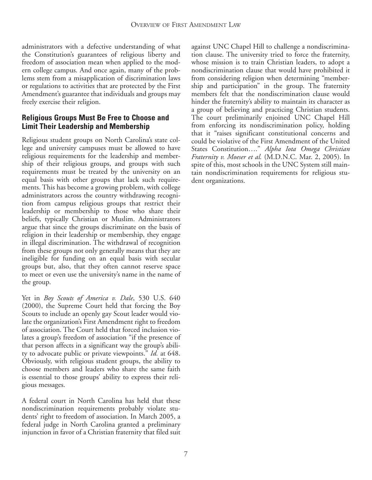administrators with a defective understanding of what the Constitution's guarantees of religious liberty and freedom of association mean when applied to the modern college campus. And once again, many of the problems stem from a misapplication of discrimination laws or regulations to activities that are protected by the First Amendment's guarantee that individuals and groups may freely exercise their religion.

#### **Religious Groups Must Be Free to Choose and Limit Their Leadership and Membership**

Religious student groups on North Carolina's state college and university campuses must be allowed to have religious requirements for the leadership and membership of their religious groups, and groups with such requirements must be treated by the university on an equal basis with other groups that lack such requirements. This has become a growing problem, with college administrators across the country withdrawing recognition from campus religious groups that restrict their leadership or membership to those who share their beliefs, typically Christian or Muslim. Administrators argue that since the groups discriminate on the basis of religion in their leadership or membership, they engage in illegal discrimination. The withdrawal of recognition from these groups not only generally means that they are ineligible for funding on an equal basis with secular groups but, also, that they often cannot reserve space to meet or even use the university's name in the name of the group.

Yet in *Boy Scouts of America v. Dale*, 530 U.S. 640 (2000), the Supreme Court held that forcing the Boy Scouts to include an openly gay Scout leader would violate the organization's First Amendment right to freedom of association. The Court held that forced inclusion violates a group's freedom of association "if the presence of that person affects in a significant way the group's ability to advocate public or private viewpoints." *Id.* at 648. Obviously, with religious student groups, the ability to choose members and leaders who share the same faith is essential to those groups' ability to express their religious messages.

A federal court in North Carolina has held that these nondiscrimination requirements probably violate students' right to freedom of association. In March 2005, a federal judge in North Carolina granted a preliminary injunction in favor of a Christian fraternity that filed suit against UNC Chapel Hill to challenge a nondiscrimination clause. The university tried to force the fraternity, whose mission is to train Christian leaders, to adopt a nondiscrimination clause that would have prohibited it from considering religion when determining "membership and participation" in the group. The fraternity members felt that the nondiscrimination clause would hinder the fraternity's ability to maintain its character as a group of believing and practicing Christian students. The court preliminarily enjoined UNC Chapel Hill from enforcing its nondiscrimination policy, holding that it "raises significant constitutional concerns and could be violative of the First Amendment of the United States Constitution…." *Alpha Iota Omega Christian Fraternity v. Moeser et al.* (M.D.N.C. Mar. 2, 2005). In spite of this, most schools in the UNC System still maintain nondiscrimination requirements for religious student organizations.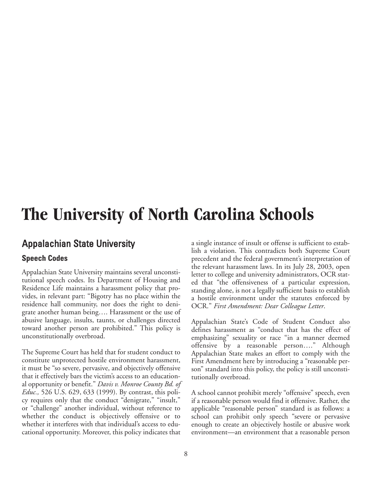## **The University of North Carolina Schools**

#### Appalachian State University

#### **Speech Codes**

Appalachian State University maintains several unconstitutional speech codes. Its Department of Housing and Residence Life maintains a harassment policy that provides, in relevant part: "Bigotry has no place within the residence hall community, nor does the right to denigrate another human being…. Harassment or the use of abusive language, insults, taunts, or challenges directed toward another person are prohibited." This policy is unconstitutionally overbroad.

The Supreme Court has held that for student conduct to constitute unprotected hostile environment harassment, it must be "so severe, pervasive, and objectively offensive that it effectively bars the victim's access to an educational opportunity or benefit." *Davis v. Monroe County Bd. of Educ.,* 526 U.S. 629, 633 (1999). By contrast, this policy requires only that the conduct "denigrate," "insult," or "challenge" another individual, without reference to whether the conduct is objectively offensive or to whether it interferes with that individual's access to educational opportunity. Moreover, this policy indicates that

a single instance of insult or offense is sufficient to establish a violation. This contradicts both Supreme Court precedent and the federal government's interpretation of the relevant harassment laws. In its July 28, 2003, open letter to college and university administrators, OCR stated that "the offensiveness of a particular expression, standing alone, is not a legally sufficient basis to establish a hostile environment under the statutes enforced by OCR." *First Amendment: Dear Colleague Letter*.

Appalachian State's Code of Student Conduct also defines harassment as "conduct that has the effect of emphasizing" sexuality or race "in a manner deemed offensive by a reasonable person…." Although Appalachian State makes an effort to comply with the First Amendment here by introducing a "reasonable person" standard into this policy, the policy is still unconstitutionally overbroad.

A school cannot prohibit merely "offensive" speech, even if a reasonable person would find it offensive. Rather, the applicable "reasonable person" standard is as follows: a school can prohibit only speech "severe or pervasive enough to create an objectively hostile or abusive work environment—an environment that a reasonable person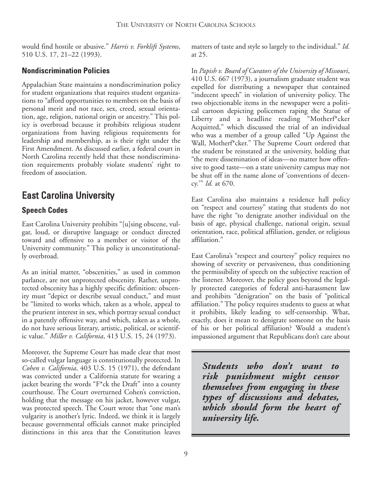would find hostile or abusive." *Harris v. Forklift Systems*, 510 U.S. 17, 21–22 (1993).

#### **Nondiscrimination Policies**

Appalachian State maintains a nondiscrimination policy for student organizations that requires student organizations to "afford opportunities to members on the basis of personal merit and not race, sex, creed, sexual orientation, age, religion, national origin or ancestry." This policy is overbroad because it prohibits religious student organizations from having religious requirements for leadership and membership, as is their right under the First Amendment. As discussed earlier, a federal court in North Carolina recently held that these nondiscrimination requirements probably violate students' right to freedom of association.

## East Carolina University

#### **Speech Codes**

East Carolina University prohibits "[u]sing obscene, vulgar, loud, or disruptive language or conduct directed toward and offensive to a member or visitor of the University community." This policy is unconstitutionally overbroad.

As an initial matter, "obscenities," as used in common parlance, are not unprotected obscenity. Rather, unprotected obscenity has a highly specific definition: obscenity must "depict or describe sexual conduct," and must be "limited to works which, taken as a whole, appeal to the prurient interest in sex, which portray sexual conduct in a patently offensive way, and which, taken as a whole, do not have serious literary, artistic, political, or scientific value." *Miller v. California*, 413 U.S. 15, 24 (1973).

Moreover, the Supreme Court has made clear that most so-called vulgar language is constitutionally protected. In *Cohen v. California*, 403 U.S. 15 (1971), the defendant was convicted under a California statute for wearing a jacket bearing the words "F\*ck the Draft" into a county courthouse. The Court overturned Cohen's conviction, holding that the message on his jacket, however vulgar, was protected speech. The Court wrote that "one man's vulgarity is another's lyric. Indeed, we think it is largely because governmental officials cannot make principled distinctions in this area that the Constitution leaves

matters of taste and style so largely to the individual." *Id.* at 25.

In *Papish v. Board of Curators of the University of Missouri*, 410 U.S. 667 (1973), a journalism graduate student was expelled for distributing a newspaper that contained "indecent speech" in violation of university policy. The two objectionable items in the newspaper were a political cartoon depicting policemen raping the Statue of Liberty and a headline reading "Motherf\*cker Acquitted," which discussed the trial of an individual who was a member of a group called "Up Against the Wall, Motherf\*cker." The Supreme Court ordered that the student be reinstated at the university, holding that "the mere dissemination of ideas—no matter how offensive to good taste—on a state university campus may not be shut off in the name alone of 'conventions of decency.'" *Id.* at 670.

East Carolina also maintains a residence hall policy on "respect and courtesy" stating that students do not have the right "to denigrate another individual on the basis of age, physical challenge, national origin, sexual orientation, race, political affiliation, gender, or religious affiliation."

East Carolina's "respect and courtesy" policy requires no showing of severity or pervasiveness, thus conditioning the permissibility of speech on the subjective reaction of the listener. Moreover, the policy goes beyond the legally protected categories of federal anti-harassment law and prohibits "denigration" on the basis of "political affiliation." The policy requires students to guess at what it prohibits, likely leading to self-censorship. What, exactly, does it mean to denigrate someone on the basis of his or her political affiliation? Would a student's impassioned argument that Republicans don't care about

*Students who don't want to risk punishment might censor themselves from engaging in these types of discussions and debates, which should form the heart of university life.*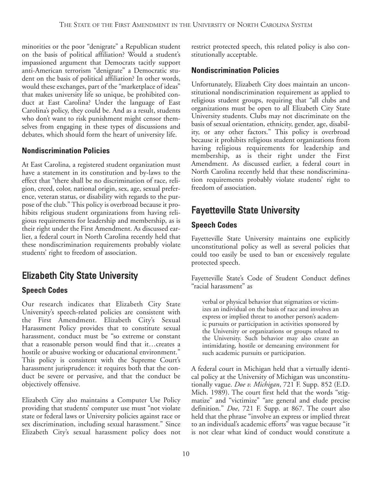minorities or the poor "denigrate" a Republican student on the basis of political affiliation? Would a student's impassioned argument that Democrats tacitly support anti-American terrorism "denigrate" a Democratic student on the basis of political affiliation? In other words, would these exchanges, part of the "marketplace of ideas" that makes university life so unique, be prohibited conduct at East Carolina? Under the language of East Carolina's policy, they could be. And as a result, students who don't want to risk punishment might censor themselves from engaging in these types of discussions and debates, which should form the heart of university life.

#### **Nondiscrimination Policies**

At East Carolina, a registered student organization must have a statement in its constitution and by-laws to the effect that "there shall be no discrimination of race, religion, creed, color, national origin, sex, age, sexual preference, veteran status, or disability with regards to the purpose of the club." This policy is overbroad because it prohibits religious student organizations from having religious requirements for leadership and membership, as is their right under the First Amendment. As discussed earlier, a federal court in North Carolina recently held that these nondiscrimination requirements probably violate students' right to freedom of association.

## Elizabeth City State University

#### **Speech Codes**

Our research indicates that Elizabeth City State University's speech-related policies are consistent with the First Amendment. Elizabeth City's Sexual Harassment Policy provides that to constitute sexual harassment, conduct must be "so extreme or constant that a reasonable person would find that it…creates a hostile or abusive working or educational environment." This policy is consistent with the Supreme Court's harassment jurisprudence: it requires both that the conduct be severe or pervasive, and that the conduct be objectively offensive.

Elizabeth City also maintains a Computer Use Policy providing that students' computer use must "not violate state or federal laws or University policies against race or sex discrimination, including sexual harassment." Since Elizabeth City's sexual harassment policy does not

restrict protected speech, this related policy is also constitutionally acceptable.

#### **Nondiscrimination Policies**

Unfortunately, Elizabeth City does maintain an unconstitutional nondiscrimination requirement as applied to religious student groups, requiring that "all clubs and organizations must be open to all Elizabeth City State University students. Clubs may not discriminate on the basis of sexual orientation, ethnicity, gender, age, disability, or any other factors." This policy is overbroad because it prohibits religious student organizations from having religious requirements for leadership and membership, as is their right under the First Amendment. As discussed earlier, a federal court in North Carolina recently held that these nondiscrimination requirements probably violate students' right to freedom of association.

## Fayetteville State University

#### **Speech Codes**

Fayetteville State University maintains one explicitly unconstitutional policy as well as several policies that could too easily be used to ban or excessively regulate protected speech.

Fayetteville State's Code of Student Conduct defines "racial harassment" as

verbal or physical behavior that stigmatizes or victimizes an individual on the basis of race and involves an express or implied threat to another person's academic pursuits or participation in activities sponsored by the University or organizations or groups related to the University. Such behavior may also create an intimidating, hostile or demeaning environment for such academic pursuits or participation.

A federal court in Michigan held that a virtually identical policy at the University of Michigan was unconstitutionally vague. *Doe v. Michigan*, 721 F. Supp. 852 (E.D. Mich. 1989). The court first held that the words "stigmatize" and "victimize" "are general and elude precise definition." *Doe*, 721 F. Supp. at 867. The court also held that the phrase "involve an express or implied threat to an individual's academic efforts" was vague because "it is not clear what kind of conduct would constitute a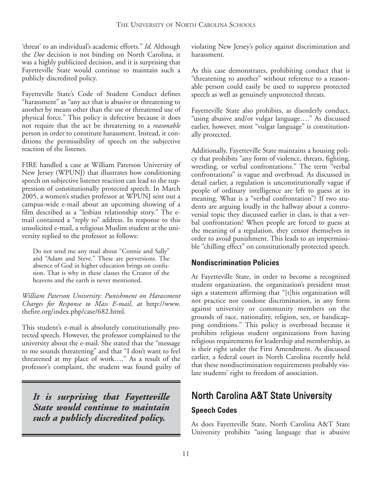'threat' to an individual's academic efforts." *Id.* Although the *Doe* decision is not binding on North Carolina, it was a highly publicized decision, and it is surprising that Fayetteville State would continue to maintain such a publicly discredited policy.

Fayetteville State's Code of Student Conduct defines "harassment" as "any act that is abusive or threatening to another by means other than the use or threatened use of physical force." This policy is defective because it does not require that the act be threatening to a *reasonable* person in order to constitute harassment. Instead, it conditions the permissibility of speech on the subjective reaction of the listener.

FIRE handled a case at William Paterson University of New Jersey (WPUNJ) that illustrates how conditioning speech on subjective listener reaction can lead to the suppression of constitutionally protected speech. In March 2005, a women's studies professor at WPUNJ sent out a campus-wide e-mail about an upcoming showing of a film described as a "lesbian relationship story." The email contained a "reply to" address. In response to this unsolicited e-mail, a religious Muslim student at the university replied to the professor as follows:

Do not send me any mail about "Connie and Sally" and "Adam and Steve." These are perversions. The absence of God in higher education brings on confusion. That is why in these classes the Creator of the heavens and the earth is never mentioned.

*William Paterson University: Punishment on Harassment Charges for Response to Mass E-mail*, *at* http://www. thefire.org/index.php/case/682.html.

This student's e-mail is absolutely constitutionally protected speech. However, the professor complained to the university about the e-mail. She stated that the "message to me sounds threatening" and that "I don't want to feel threatened at my place of work…." As a result of the professor's complaint, the student was found guilty of

*It is surprising that Fayetteville State would continue to maintain such a publicly discredited policy.*

violating New Jersey's policy against discrimination and harassment.

As this case demonstrates, prohibiting conduct that is "threatening to another" without reference to a reasonable person could easily be used to suppress protected speech as well as genuinely unprotected threats.

Fayetteville State also prohibits, as disorderly conduct, "using abusive and/or vulgar language…." As discussed earlier, however, most "vulgar language" is constitutionally protected.

Additionally, Fayetteville State maintains a housing policy that prohibits "any form of violence, threats, fighting, wrestling, or verbal confrontations." The term "verbal confrontations" is vague and overbroad. As discussed in detail earlier, a regulation is unconstitutionally vague if people of ordinary intelligence are left to guess at its meaning. What is a "verbal confrontation"? If two students are arguing loudly in the hallway about a controversial topic they discussed earlier in class, is that a verbal confrontation? When people are forced to guess at the meaning of a regulation, they censor themselves in order to avoid punishment. This leads to an impermissible "chilling effect" on constitutionally protected speech.

#### **Nondiscrimination Policies**

At Fayetteville State, in order to become a recognized student organization, the organization's president must sign a statement affirming that "[t]his organization will not practice nor condone discrimination, in any form against university or community members on the grounds of race, nationality, religion, sex, or handicapping conditions." This policy is overbroad because it prohibits religious student organizations from having religious requirements for leadership and membership, as is their right under the First Amendment. As discussed earlier, a federal court in North Carolina recently held that these nondiscrimination requirements probably violate students' right to freedom of association.

## North Carolina A&T State University

#### **Speech Codes**

As does Fayetteville State, North Carolina A&T State University prohibits "using language that is abusive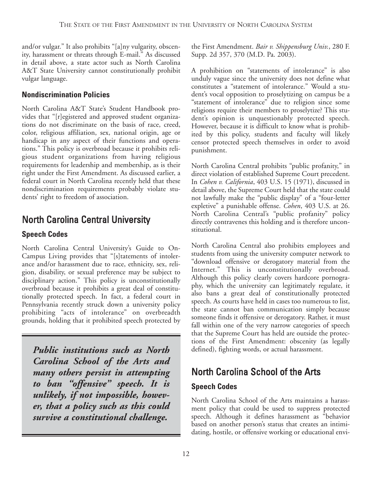and/or vulgar." It also prohibits "[a]ny vulgarity, obscenity, harassment or threats through E-mail." As discussed in detail above, a state actor such as North Carolina A&T State University cannot constitutionally prohibit vulgar language.

#### **Nondiscrimination Policies**

North Carolina A&T State's Student Handbook provides that "[r]egistered and approved student organizations do not discriminate on the basis of race, creed, color, religious affiliation, sex, national origin, age or handicap in any aspect of their functions and operations." This policy is overbroad because it prohibits religious student organizations from having religious requirements for leadership and membership, as is their right under the First Amendment. As discussed earlier, a federal court in North Carolina recently held that these nondiscrimination requirements probably violate students' right to freedom of association.

## North Carolina Central University

#### **Speech Codes**

North Carolina Central University's Guide to On-Campus Living provides that "[s]tatements of intolerance and/or harassment due to race, ethnicity, sex, religion, disability, or sexual preference may be subject to disciplinary action." This policy is unconstitutionally overbroad because it prohibits a great deal of constitutionally protected speech. In fact, a federal court in Pennsylvania recently struck down a university policy prohibiting "acts of intolerance" on overbreadth grounds, holding that it prohibited speech protected by

*Public institutions such as North Carolina School of the Arts and many others persist in attempting to ban "offensive" speech. It is unlikely, if not impossible, however, that a policy such as this could survive a constitutional challenge.*

the First Amendment. *Bair v. Shippensburg Univ.*, 280 F. Supp. 2d 357, 370 (M.D. Pa. 2003).

A prohibition on "statements of intolerance" is also unduly vague since the university does not define what constitutes a "statement of intolerance." Would a student's vocal opposition to proselytizing on campus be a "statement of intolerance" due to religion since some religions require their members to proselytize? This student's opinion is unquestionably protected speech. However, because it is difficult to know what is prohibited by this policy, students and faculty will likely censor protected speech themselves in order to avoid punishment.

North Carolina Central prohibits "public profanity," in direct violation of established Supreme Court precedent. In *Cohen v. California*, 403 U.S. 15 (1971), discussed in detail above, the Supreme Court held that the state could not lawfully make the "public display" of a "four-letter expletive" a punishable offense. *Cohen*, 403 U.S. at 26. North Carolina Central's "public profanity" policy directly contravenes this holding and is therefore unconstitutional.

North Carolina Central also prohibits employees and students from using the university computer network to "download offensive or derogatory material from the Internet." This is unconstitutionally overbroad. Although this policy clearly covers hardcore pornography, which the university can legitimately regulate, it also bans a great deal of constitutionally protected speech. As courts have held in cases too numerous to list, the state cannot ban communication simply because someone finds it offensive or derogatory. Rather, it must fall within one of the very narrow categories of speech that the Supreme Court has held are outside the protections of the First Amendment: obscenity (as legally defined), fighting words, or actual harassment.

## North Carolina School of the Arts

#### **Speech Codes**

North Carolina School of the Arts maintains a harassment policy that could be used to suppress protected speech. Although it defines harassment as "behavior based on another person's status that creates an intimidating, hostile, or offensive working or educational envi-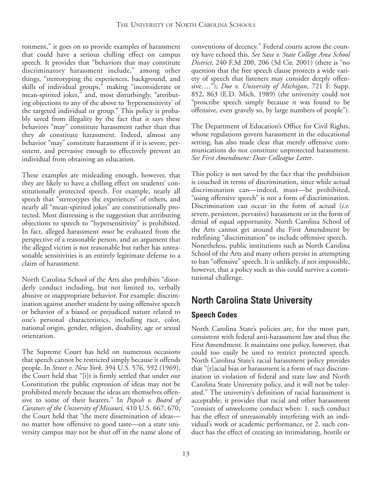ronment," it goes on to provide examples of harassment that could have a serious chilling effect on campus speech. It provides that "behaviors that may constitute discriminatory harassment include," among other things, "stereotyping the experiences, background, and skills of individual groups," making "inconsiderate or mean-spirited jokes," and, most disturbingly, "attributing objections to any of the above to 'hypersensitivity' of the targeted individual or group." This policy is probably saved from illegality by the fact that it says these behaviors "may" constitute harassment rather than that they *do* constitute harassment. Indeed, almost any behavior "may" constitute harassment if it is severe, persistent, and pervasive enough to effectively prevent an individual from obtaining an education.

These examples are misleading enough, however, that they are likely to have a chilling effect on students' constitutionally protected speech. For example, nearly all speech that "stereotypes the experiences" of others, and nearly all "mean-spirited jokes" are constitutionally protected. Most distressing is the suggestion that attributing objections to speech to "hypersensitivity" is prohibited. In fact, alleged harassment *must* be evaluated from the perspective of a reasonable person, and an argument that the alleged victim is not reasonable but rather has unreasonable sensitivities is an entirely legitimate defense to a claim of harassment.

North Carolina School of the Arts also prohibits "disorderly conduct including, but not limited to, verbally abusive or inappropriate behavior. For example: discrimination against another student by using offensive speech or behavior of a biased or prejudiced nature related to one's personal characteristics, including race, color, national origin, gender, religion, disability, age or sexual orientation.

The Supreme Court has held on numerous occasions that speech cannot be restricted simply because it offends people. In *Street v. New York*, 394 U.S. 576, 592 (1969), the Court held that "[i]t is firmly settled that under our Constitution the public expression of ideas may not be prohibited merely because the ideas are themselves offensive to some of their hearers." In *Papish v. Board of Curators of the University of Missouri,* 410 U.S. 667, 670, the Court held that "the mere dissemination of ideas no matter how offensive to good taste—on a state university campus may not be shut off in the name alone of

conventions of decency." Federal courts across the country have echoed this. *See Saxe v. State College Area School District*, 240 F.3d 200, 206 (3d Cir. 2001) (there is "no question that the free speech clause protects a wide variety of speech that listeners may consider deeply offensive…."); *Doe v. University of Michigan*, 721 F. Supp. 852, 863 (E.D. Mich. 1989) (the university could not "proscribe speech simply because it was found to be offensive, even gravely so, by large numbers of people").

The Department of Education's Office for Civil Rights, whose regulations govern harassment in the educational setting, has also made clear that merely offensive communications do not constitute unprotected harassment. *See First Amendment: Dear Colleague Letter*.

This policy is not saved by the fact that the prohibition is couched in terms of discrimination, since while actual discrimination can—indeed, must—be prohibited, "using offensive speech" is not a form of discrimination. Discrimination can occur in the form of actual (*i.e.* severe, persistent, pervasive) harassment or in the form of denial of equal opportunity. North Carolina School of the Arts cannot get around the First Amendment by redefining "discrimination" to include offensive speech. Nonetheless, public institutions such as North Carolina School of the Arts and many others persist in attempting to ban "offensive" speech. It is unlikely, if not impossible, however, that a policy such as this could survive a constitutional challenge.

## North Carolina State University

#### **Speech Codes**

North Carolina State's policies are, for the most part, consistent with federal anti-harassment law and thus the First Amendment. It maintains one policy, however, that could too easily be used to restrict protected speech. North Carolina State's racial harassment policy provides that "[r]acial bias or harassment is a form of race discrimination in violation of federal and state law and North Carolina State University policy, and it will not be tolerated." The university's definition of racial harassment is acceptable; it provides that racial and other harassment "consists of unwelcome conduct when: 1. such conduct has the effect of unreasonably interfering with an individual's work or academic performance, or 2. such conduct has the effect of creating an intimidating, hostile or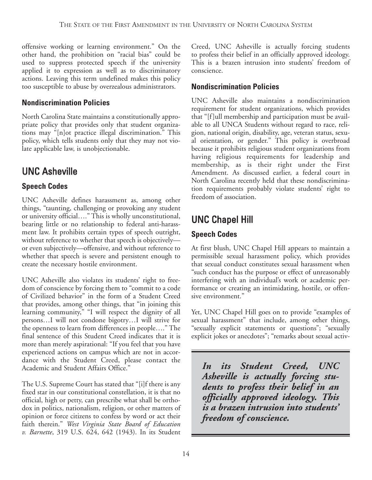offensive working or learning environment." On the other hand, the prohibition on "racial bias" could be used to suppress protected speech if the university applied it to expression as well as to discriminatory actions. Leaving this term undefined makes this policy too susceptible to abuse by overzealous administrators.

#### **Nondiscrimination Policies**

North Carolina State maintains a constitutionally appropriate policy that provides only that student organizations may "[n]ot practice illegal discrimination." This policy, which tells students only that they may not violate applicable law, is unobjectionable.

## UNC Asheville

#### **Speech Codes**

UNC Asheville defines harassment as, among other things, "taunting, challenging or provoking any student or university official…." This is wholly unconstitutional, bearing little or no relationship to federal anti-harassment law. It prohibits certain types of speech outright, without reference to whether that speech is objectively or even subjectively—offensive, and without reference to whether that speech is severe and persistent enough to create the necessary hostile environment.

UNC Asheville also violates its students' right to freedom of conscience by forcing them to "commit to a code of Civilized behavior" in the form of a Student Creed that provides, among other things, that "in joining this learning community," "I will respect the dignity of all persons…I will not condone bigotry…I will strive for the openness to learn from differences in people…." The final sentence of this Student Creed indicates that it is more than merely aspirational: "If you feel that you have experienced actions on campus which are not in accordance with the Student Creed, please contact the Academic and Student Affairs Office."

The U.S. Supreme Court has stated that "[i]f there is any fixed star in our constitutional constellation, it is that no official, high or petty, can prescribe what shall be orthodox in politics, nationalism, religion, or other matters of opinion or force citizens to confess by word or act their faith therein." *West Virginia State Board of Education v. Barnette*, 319 U.S. 624, 642 (1943). In its Student

Creed, UNC Asheville is actually forcing students to profess their belief in an officially approved ideology. This is a brazen intrusion into students' freedom of conscience.

#### **Nondiscrimination Policies**

UNC Asheville also maintains a nondiscrimination requirement for student organizations, which provides that "[f]ull membership and participation must be available to all UNCA Students without regard to race, religion, national origin, disability, age, veteran status, sexual orientation, or gender." This policy is overbroad because it prohibits religious student organizations from having religious requirements for leadership and membership, as is their right under the First Amendment. As discussed earlier, a federal court in North Carolina recently held that these nondiscrimination requirements probably violate students' right to freedom of association.

## UNC Chapel Hill

#### **Speech Codes**

At first blush, UNC Chapel Hill appears to maintain a permissible sexual harassment policy, which provides that sexual conduct constitutes sexual harassment when "such conduct has the purpose or effect of unreasonably interfering with an individual's work or academic performance or creating an intimidating, hostile, or offensive environment."

Yet, UNC Chapel Hill goes on to provide "examples of sexual harassment" that include, among other things, "sexually explicit statements or questions"; "sexually explicit jokes or anecdotes"; "remarks about sexual activ-

*In its Student Creed, UNC Asheville is actually forcing students to profess their belief in an officially approved ideology. This is a brazen intrusion into students' freedom of conscience.*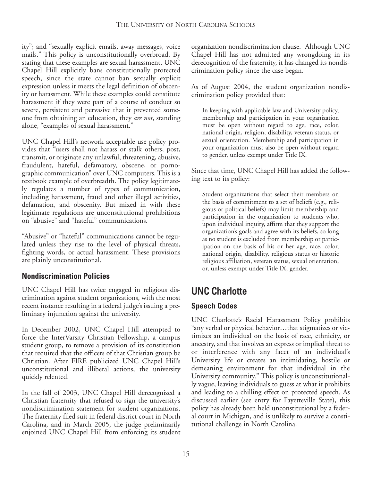ity"; and "sexually explicit emails, away messages, voice mails." This policy is unconstitutionally overbroad. By stating that these examples are sexual harassment, UNC Chapel Hill explicitly bans constitutionally protected speech, since the state cannot ban sexually explicit expression unless it meets the legal definition of obscenity or harassment. While these examples could constitute harassment if they were part of a course of conduct so severe, persistent and pervasive that it prevented someone from obtaining an education, they *are not*, standing alone, "examples of sexual harassment."

UNC Chapel Hill's network acceptable use policy provides that "users shall not harass or stalk others, post, transmit, or originate any unlawful, threatening, abusive, fraudulent, hateful, defamatory, obscene, or pornographic communication" over UNC computers. This is a textbook example of overbreadth. The policy legitimately regulates a number of types of communication, including harassment, fraud and other illegal activities, defamation, and obscenity. But mixed in with these legitimate regulations are unconstitutional prohibitions on "abusive" and "hateful" communications.

"Abusive" or "hateful" communications cannot be regulated unless they rise to the level of physical threats, fighting words, or actual harassment. These provisions are plainly unconstitutional.

#### **Nondiscrimination Policies**

UNC Chapel Hill has twice engaged in religious discrimination against student organizations, with the most recent instance resulting in a federal judge's issuing a preliminary injunction against the university.

In December 2002, UNC Chapel Hill attempted to force the InterVarsity Christian Fellowship, a campus student group, to remove a provision of its constitution that required that the officers of that Christian group be Christian. After FIRE publicized UNC Chapel Hill's unconstitutional and illiberal actions, the university quickly relented.

In the fall of 2003, UNC Chapel Hill derecognized a Christian fraternity that refused to sign the university's nondiscrimination statement for student organizations. The fraternity filed suit in federal district court in North Carolina, and in March 2005, the judge preliminarily enjoined UNC Chapel Hill from enforcing its student

organization nondiscrimination clause. Although UNC Chapel Hill has not admitted any wrongdoing in its derecognition of the fraternity, it has changed its nondiscrimination policy since the case began.

As of August 2004, the student organization nondiscrimination policy provided that:

In keeping with applicable law and University policy, membership and participation in your organization must be open without regard to age, race, color, national origin, religion, disability, veteran status, or sexual orientation. Membership and participation in your organization must also be open without regard to gender, unless exempt under Title IX.

Since that time, UNC Chapel Hill has added the following text to its policy:

Student organizations that select their members on the basis of commitment to a set of beliefs (e.g., religious or political beliefs) may limit membership and participation in the organization to students who, upon individual inquiry, affirm that they support the organization's goals and agree with its beliefs, so long as no student is excluded from membership or participation on the basis of his or her age, race, color, national origin, disability, religious status or historic religious affiliation, veteran status, sexual orientation, or, unless exempt under Title IX, gender.

## UNC Charlotte

#### **Speech Codes**

UNC Charlotte's Racial Harassment Policy prohibits "any verbal or physical behavior…that stigmatizes or victimizes an individual on the basis of race, ethnicity, or ancestry, and that involves an express or implied threat to or interference with any facet of an individual's University life or creates an intimidating, hostile or demeaning environment for that individual in the University community." This policy is unconstitutionally vague, leaving individuals to guess at what it prohibits and leading to a chilling effect on protected speech. As discussed earlier (see entry for Fayetteville State), this policy has already been held unconstitutional by a federal court in Michigan, and is unlikely to survive a constitutional challenge in North Carolina.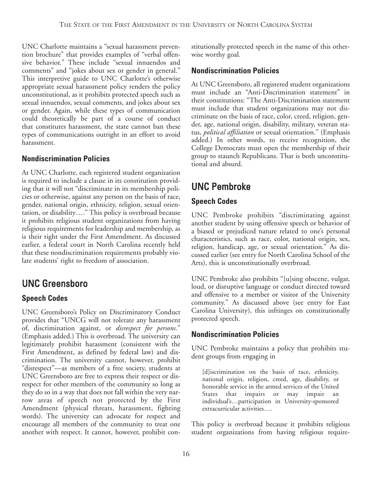UNC Charlotte maintains a "sexual harassment prevention brochure" that provides examples of "verbal offensive behavior." These include "sexual innuendos and comments" and "jokes about sex or gender in general." This interpretive guide to UNC Charlotte's otherwise appropriate sexual harassment policy renders the policy unconstitutional, as it prohibits protected speech such as sexual innuendos, sexual comments, and jokes about sex or gender. Again, while these types of communication could theoretically be part of a course of conduct that constitutes harassment, the state cannot ban these types of communications outright in an effort to avoid harassment.

#### **Nondiscrimination Policies**

At UNC Charlotte, each registered student organization is required to include a clause in its constitution providing that it will not "discriminate in its membership policies or otherwise, against any person on the basis of race, gender, national origin, ethnicity, religion, sexual orientation, or disability…." This policy is overbroad because it prohibits religious student organizations from having religious requirements for leadership and membership, as is their right under the First Amendment. As discussed earlier, a federal court in North Carolina recently held that these nondiscrimination requirements probably violate students' right to freedom of association.

## UNC Greensboro

#### **Speech Codes**

UNC Greensboro's Policy on Discriminatory Conduct provides that "UNCG will not tolerate any harassment of, discrimination against, or *disrespect for persons*." (Emphasis added.) This is overbroad. The university can legitimately prohibit harassment (consistent with the First Amendment, as defined by federal law) and discrimination. The university cannot, however, prohibit "disrespect"—as members of a free society, students at UNC Greensboro are free to express their respect or disrespect for other members of the community so long as they do so in a way that does not fall within the very narrow areas of speech not protected by the First Amendment (physical threats, harassment, fighting words). The university can advocate for respect and encourage all members of the community to treat one another with respect. It cannot, however, prohibit constitutionally protected speech in the name of this otherwise worthy goal.

#### **Nondiscrimination Policies**

At UNC Greensboro, all registered student organizations must include an "Anti-Discrimination statement" in their constitutions: "The Anti-Discrimination statement must include that student organizations may not discriminate on the basis of race, color, creed, religion, gender, age, national origin, disability, military, veteran status, *political affiliation* or sexual orientation." (Emphasis added.) In other words, to receive recognition, the College Democrats must open the membership of their group to staunch Republicans. That is both unconstitutional and absurd.

## UNC Pembroke

#### **Speech Codes**

UNC Pembroke prohibits "discriminating against another student by using offensive speech or behavior of a biased or prejudiced nature related to one's personal characteristics, such as race, color, national origin, sex, religion, handicap, age, or sexual orientation." As discussed earlier (see entry for North Carolina School of the Arts), this is unconstitutionally overbroad.

UNC Pembroke also prohibits "[u]sing obscene, vulgar, loud, or disruptive language or conduct directed toward and offensive to a member or visitor of the University community." As discussed above (see entry for East Carolina University), this infringes on constitutionally protected speech.

#### **Nondiscrimination Policies**

UNC Pembroke maintains a policy that prohibits student groups from engaging in

[d]iscrimination on the basis of race, ethnicity, national origin, religion, creed, age, disability, or honorable service in the armed services of the United States that impairs or may impair an individual's…participation in University-sponsored extracurricular activities….

This policy is overbroad because it prohibits religious student organizations from having religious require-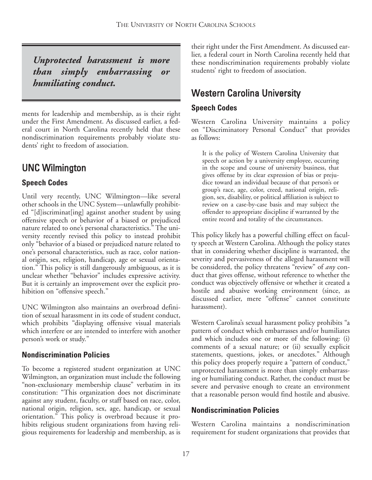*Unprotected harassment is more than simply embarrassing or humiliating conduct.*

ments for leadership and membership, as is their right under the First Amendment. As discussed earlier, a federal court in North Carolina recently held that these nondiscrimination requirements probably violate students' right to freedom of association.

## UNC Wilmington

#### **Speech Codes**

Until very recently, UNC Wilmington—like several other schools in the UNC System—unlawfully prohibited "[d]iscriminat[ing] against another student by using offensive speech or behavior of a biased or prejudiced nature related to one's personal characteristics." The university recently revised this policy to instead prohibit only "behavior of a biased or prejudiced nature related to one's personal characteristics, such as race, color national origin, sex, religion, handicap, age or sexual orientation." This policy is still dangerously ambiguous, as it is unclear whether "behavior" includes expressive activity. But it is certainly an improvement over the explicit prohibition on "offensive speech."

UNC Wilmington also maintains an overbroad definition of sexual harassment in its code of student conduct, which prohibits "displaying offensive visual materials which interfere or are intended to interfere with another person's work or study."

#### **Nondiscrimination Policies**

To become a registered student organization at UNC Wilmington, an organization must include the following "non-exclusionary membership clause" verbatim in its constitution: "This organization does not discriminate against any student, faculty, or staff based on race, color, national origin, religion, sex, age, handicap, or sexual orientation." This policy is overbroad because it prohibits religious student organizations from having religious requirements for leadership and membership, as is

their right under the First Amendment. As discussed earlier, a federal court in North Carolina recently held that these nondiscrimination requirements probably violate students' right to freedom of association.

## Western Carolina University

#### **Speech Codes**

Western Carolina University maintains a policy on "Discriminatory Personal Conduct" that provides as follows:

It is the policy of Western Carolina University that speech or action by a university employee, occurring in the scope and course of university business, that gives offense by its clear expression of bias or prejudice toward an individual because of that person's or group's race, age, color, creed, national origin, religion, sex, disability, or political affiliation is subject to review on a case-by-case basis and may subject the offender to appropriate discipline if warranted by the entire record and totality of the circumstances.

This policy likely has a powerful chilling effect on faculty speech at Western Carolina. Although the policy states that in considering whether discipline is warranted, the severity and pervasiveness of the alleged harassment will be considered, the policy threatens "review" of *any* conduct that gives offense, without reference to whether the conduct was objectively offensive or whether it created a hostile and abusive working environment (since, as discussed earlier, mere "offense" cannot constitute harassment).

Western Carolina's sexual harassment policy prohibits "a pattern of conduct which embarrasses and/or humiliates and which includes one or more of the following: (i) comments of a sexual nature; or (ii) sexually explicit statements, questions, jokes, or anecdotes." Although this policy does properly require a "pattern of conduct," unprotected harassment is more than simply embarrassing or humiliating conduct. Rather, the conduct must be severe and pervasive enough to create an environment that a reasonable person would find hostile and abusive.

#### **Nondiscrimination Policies**

Western Carolina maintains a nondiscrimination requirement for student organizations that provides that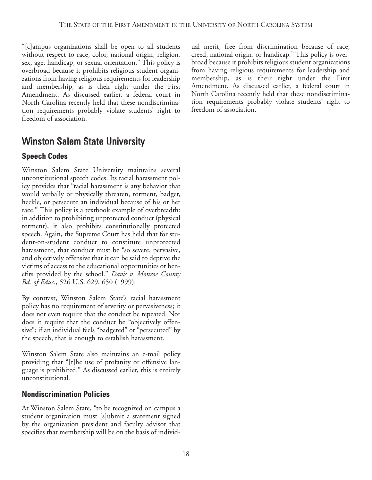"[c]ampus organizations shall be open to all students without respect to race, color, national origin, religion, sex, age, handicap, or sexual orientation." This policy is overbroad because it prohibits religious student organizations from having religious requirements for leadership and membership, as is their right under the First Amendment. As discussed earlier, a federal court in North Carolina recently held that these nondiscrimination requirements probably violate students' right to freedom of association.

## Winston Salem State University

#### **Speech Codes**

Winston Salem State University maintains several unconstitutional speech codes. Its racial harassment policy provides that "racial harassment is any behavior that would verbally or physically threaten, torment, badger, heckle, or persecute an individual because of his or her race." This policy is a textbook example of overbreadth: in addition to prohibiting unprotected conduct (physical torment), it also prohibits constitutionally protected speech. Again, the Supreme Court has held that for student-on-student conduct to constitute unprotected harassment, that conduct must be "so severe, pervasive, and objectively offensive that it can be said to deprive the victims of access to the educational opportunities or benefits provided by the school." *Davis v. Monroe County Bd. of Educ.*, 526 U.S. 629, 650 (1999).

By contrast, Winston Salem State's racial harassment policy has no requirement of severity or pervasiveness; it does not even require that the conduct be repeated. Nor does it require that the conduct be "objectively offensive"; if an individual feels "badgered" or "persecuted" by the speech, that is enough to establish harassment.

Winston Salem State also maintains an e-mail policy providing that "[t]he use of profanity or offensive language is prohibited." As discussed earlier, this is entirely unconstitutional.

#### **Nondiscrimination Policies**

At Winston Salem State, "to be recognized on campus a student organization must [s]ubmit a statement signed by the organization president and faculty advisor that specifies that membership will be on the basis of individ-

ual merit, free from discrimination because of race, creed, national origin, or handicap." This policy is overbroad because it prohibits religious student organizations from having religious requirements for leadership and membership, as is their right under the First Amendment. As discussed earlier, a federal court in North Carolina recently held that these nondiscrimination requirements probably violate students' right to freedom of association.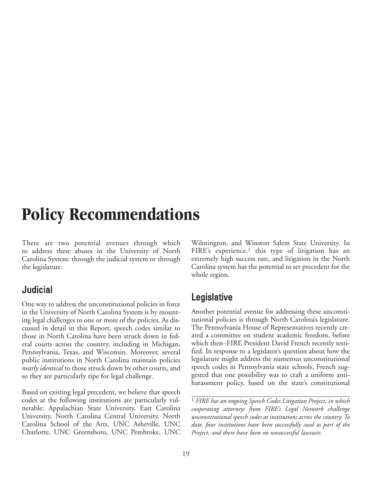## **Policy Recommendations**

There are two potential avenues through which to address these abuses in the University of North Carolina System: through the judicial system or through the legislature.

### **Judicial**

One way to address the unconstitutional policies in force in the University of North Carolina System is by mounting legal challenges to one or more of the policies. As discussed in detail in this Report, speech codes similar to those in North Carolina have been struck down in federal courts across the country, including in Michigan, Pennsylvania, Texas, and Wisconsin. Moreover, several public institutions in North Carolina maintain policies *nearly identical* to those struck down by other courts, and so they are particularly ripe for legal challenge.

Based on existing legal precedent, we believe that speech codes at the following institutions are particularly vulnerable: Appalachian State University, East Carolina University, North Carolina Central University, North Carolina School of the Arts, UNC Asheville, UNC Charlotte, UNC Greensboro, UNC Pembroke, UNC

Wilmington, and Winston Salem State University. In FIRE's experience,<sup>1</sup> this type of litigation has an extremely high success rate, and litigation in the North Carolina system has the potential to set precedent for the whole region.

### **Legislative**

Another potential avenue for addressing these unconstitutional policies is through North Carolina's legislature. The Pennsylvania House of Representatives recently created a committee on student academic freedom, before which then–FIRE President David French recently testified. In response to a legislator's question about how the legislature might address the numerous unconstitutional speech codes in Pennsylvania state schools, French suggested that one possibility was to craft a uniform antiharassment policy, based on the state's constitutional

1 *FIRE has an ongoing Speech Codes Litigation Project, in which cooperating attorneys from FIRE's Legal Network challenge unconstitutional speech codes at institutions across the country. To date, four institutions have been successfully sued as part of the Project, and there have been no unsuccessful lawsuits.*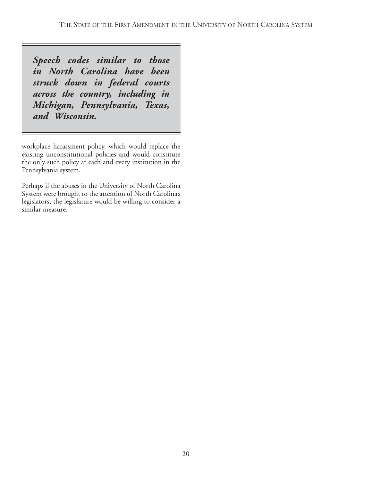*Speech codes similar to those in North Carolina have been struck down in federal courts across the country, including in Michigan, Pennsylvania, Texas, and Wisconsin.*

workplace harassment policy, which would replace the existing unconstitutional policies and would constitute the only such policy at each and every institution in the Pennsylvania system.

Perhaps if the abuses in the University of North Carolina System were brought to the attention of North Carolina's legislators, the legislature would be willing to consider a similar measure.